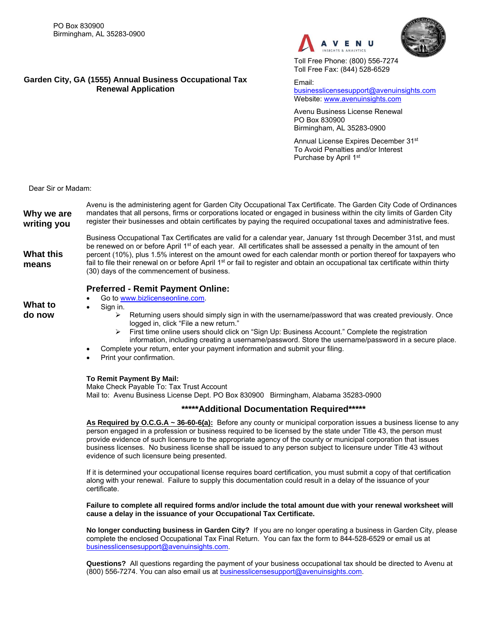## **Garden City, GA (1555) Annual Business Occupational Tax Renewal Application**



 Toll Free Phone: (800) 556-7274 Toll Free Fax: (844) 528-6529

Email:

[businesslicensesupport@avenuinsights.com](mailto:businesslicensesupport@avenuinsights.com) Website: [www.avenuinsights.com](http://www.avenuinsights.com/)

Avenu Business License Renewal PO Box 830900 Birmingham, AL 35283-0900

Annual License Expires December 31st To Avoid Penalties and/or Interest Purchase by April 1st

Dear Sir or Madam:

Avenu is the administering agent for Garden City Occupational Tax Certificate. The Garden City Code of Ordinances mandates that all persons, firms or corporations located or engaged in business within the city limits of Garden City register their businesses and obtain certificates by paying the required occupational taxes and administrative fees. Business Occupational Tax Certificates are valid for a calendar year, January 1st through December 31st, and must be renewed on or before April 1<sup>st</sup> of each year. All certificates shall be assessed a penalty in the amount of ten percent (10%), plus 1.5% interest on the amount owed for each calendar month or portion thereof for taxpayers who fail to file their renewal on or before April 1st or fail to register and obtain an occupational tax certificate within thirty (30) days of the commencement of business. **Why we are writing you What this means**

# **Preferred - Remit Payment Online:**

- Go t[o www.bizlicenseonline.com.](http://www.bizlicenseonline.com/) Sign in. **What to**
- **do now**
- Returning users should simply sign in with the username/password that was created previously. Once logged in, click "File a new return."
- First time online users should click on "Sign Up: Business Account." Complete the registration information, including creating a username/password. Store the username/password in a secure place.
- Complete your return, enter your payment information and submit your filing.
- Print your confirmation.

## **To Remit Payment By Mail:**

Make Check Payable To: Tax Trust Account Mail to:Avenu Business License Dept. PO Box 830900 Birmingham, Alabama 35283-0900

# **\*\*\*\*\*Additional Documentation Required\*\*\*\*\***

**As Required by O.C.G.A ~ 36-60-6(a):** Before any county or municipal corporation issues a business license to any person engaged in a profession or business required to be licensed by the state under Title 43, the person must provide evidence of such licensure to the appropriate agency of the county or municipal corporation that issues business licenses. No business license shall be issued to any person subject to licensure under Title 43 without evidence of such licensure being presented.

If it is determined your occupational license requires board certification, you must submit a copy of that certification along with your renewal. Failure to supply this documentation could result in a delay of the issuance of your certificate.

**Failure to complete all required forms and/or include the total amount due with your renewal worksheet will cause a delay in the issuance of your Occupational Tax Certificate.** 

**No longer conducting business in Garden City?** If you are no longer operating a business in Garden City, please complete the enclosed Occupational Tax Final Return. You can fax the form to 844-528-6529 or email us at [businesslicensesupport@avenuinsights.com.](mailto:bizlicensesupport@revds.com)

**Questions?** All questions regarding the payment of your business occupational tax should be directed to Avenu at (800) 556-7274. You can also email us at [businesslicensesupport@avenuinsights.com.](mailto:bizlicensesupport@revds.com)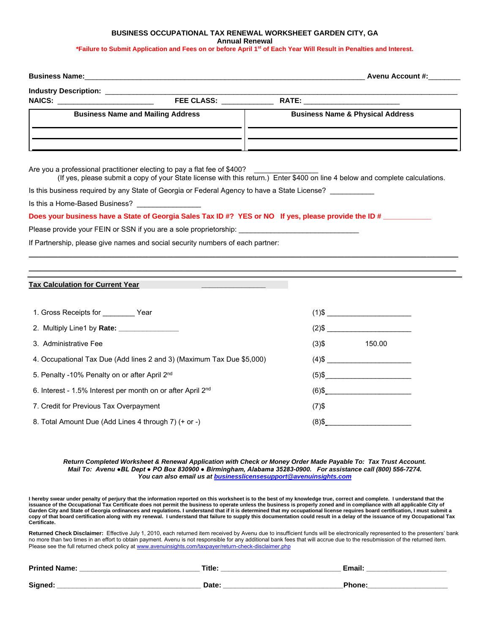#### **BUSINESS OCCUPATIONAL TAX RENEWAL WORKSHEET GARDEN CITY, GA Annual Renewal**

**\*Failure to Submit Application and Fees on or before April 1 st of Each Year Will Result in Penalties and Interest.**

| <b>FEE CLASS:</b> | <b>RATE:</b>                                |                         |
|-------------------|---------------------------------------------|-------------------------|
|                   | <b>Business Name &amp; Physical Address</b> |                         |
|                   |                                             |                         |
|                   | <b>Business Name and Mailing Address</b>    | <b>Avenu Account #:</b> |

Are you a professional practitioner electing to pay a flat fee of \$400?

(If yes, please submit a copy of your State license with this return.) Enter \$400 on line 4 below and complete calculations.

 $\_$  , and the state of the state of the state of the state of the state of the state of the state of the state of the state of the state of the state of the state of the state of the state of the state of the state of the  $\_$  , and the state of the state of the state of the state of the state of the state of the state of the state of the state of the state of the state of the state of the state of the state of the state of the state of the

Is this business required by any State of Georgia or Federal Agency to have a State License?

Is this a Home-Based Business?

Does your business have a State of Georgia Sales Tax ID #? YES or NO If yes, please provide the ID #

Please provide your FEIN or SSN if you are a sole proprietorship:

If Partnership, please give names and social security numbers of each partner:

#### **Tax Calculation for Current Year**

| 1. Gross Receipts for The Year                                          |                                                                       | $(1)$ \$      |          |
|-------------------------------------------------------------------------|-----------------------------------------------------------------------|---------------|----------|
| 2. Multiply Line1 by Rate: _______________                              |                                                                       | $(2)$ \$ $\_$ |          |
| 3. Administrative Fee                                                   |                                                                       | $(3)$ \$      | 150.00   |
|                                                                         | 4. Occupational Tax Due (Add lines 2 and 3) (Maximum Tax Due \$5,000) |               | $(4)$ \$ |
| 5. Penalty -10% Penalty on or after April 2nd                           |                                                                       |               | $(5)$ \$ |
| 6. Interest - 1.5% Interest per month on or after April 2 <sup>nd</sup> |                                                                       |               | $(6)$ \$ |
| 7. Credit for Previous Tax Overpayment                                  |                                                                       | (7)\$         |          |
| 8. Total Amount Due (Add Lines 4 through 7) (+ or -)                    |                                                                       | (8)\$         |          |

*Return Completed Worksheet & Renewal Application with Check or Money Order Made Payable To: Tax Trust Account. Mail To: Avenu ●BL Dept ● PO Box 830900 ● Birmingham, Alabama 35283-0900. For assistance call (800) 556-7274. You can also email us a[t businesslicensesupport@avenuinsights.com](mailto:bizlicensesupport@revds.com)*

I hereby swear under penalty of perjury that the information reported on this worksheet is to the best of my knowledge true, correct and complete. I understand that the issuance of the Occupational Tax Certificate does not permit the business to operate unless the business is properly zoned and in compliance with all applicable City of **Garden City and State of Georgia ordinances and regulations. I understand that if it is determined that my occupational license requires board certification, I must submit a copy of that board certification along with my renewal. I understand that failure to supply this documentation could result in a delay of the issuance of my Occupational Tax Certificate.** 

Returned Check Disclaimer: Effective July 1, 2010, each returned item received by Avenu due to insufficient funds will be electronically represented to the presenters' bank no more than two times in an effort to obtain payment. Avenu is not responsible for any additional bank fees that will accrue due to the resubmission of the returned item. Please see the full returned check policy a[t www.avenuinsights.com/taxpayer/return-check-disclaimer.php](http://www.revds.com/taxpayer/return-check-disclaimer.php)

| <b>Printed Name:</b> | Title: | <b>Email</b> |
|----------------------|--------|--------------|
| Signed:              | Date:  | Phone:       |